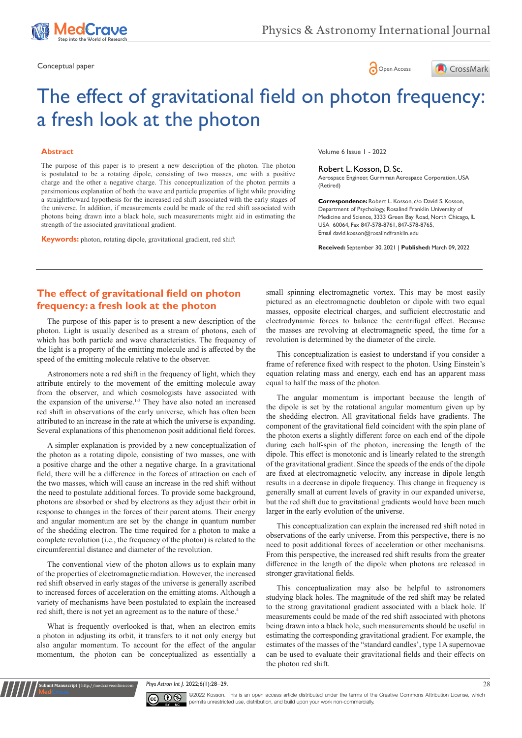

Conceptual paper **Conceptual paper Conceptual paper Conceptual paper Conceptual paper Concess** 





# The effect of gravitational field on photon frequency: a fresh look at the photon

### **Abstract**

The purpose of this paper is to present a new description of the photon. The photon is postulated to be a rotating dipole, consisting of two masses, one with a positive charge and the other a negative charge. This conceptualization of the photon permits a parsimonious explanation of both the wave and particle properties of light while providing a straightforward hypothesis for the increased red shift associated with the early stages of the universe. In addition, if measurements could be made of the red shift associated with photons being drawn into a black hole, such measurements might aid in estimating the strength of the associated gravitational gradient.

**Keywords:** photon, rotating dipole, gravitational gradient, red shift

Volume 6 Issue 1 - 2022

#### Robert L. Kosson, D. Sc.

Aerospace Engineer, Gurmman Aerospace Corporation, USA (Retired)

**Correspondence:** Robert L. Kosson, c/o David S. Kosson, Department of Psychology, Rosalind Franklin University of Medicine and Science, 3333 Green Bay Road, North Chicago, IL USA 60064, Fax 847-578-8761, 847-578-8765, Email david.kosson@rosalindfranklin.edu

**Received:** September 30, 2021 | **Published:** March 09, 2022

# **The effect of gravitational field on photon frequency: a fresh look at the photon**

The purpose of this paper is to present a new description of the photon. Light is usually described as a stream of photons, each of which has both particle and wave characteristics. The frequency of the light is a property of the emitting molecule and is affected by the speed of the emitting molecule relative to the observer.

Astronomers note a red shift in the frequency of light, which they attribute entirely to the movement of the emitting molecule away from the observer, and which cosmologists have associated with the expansion of the universe.<sup>1-3</sup> They have also noted an increased red shift in observations of the early universe, which has often been attributed to an increase in the rate at which the universe is expanding. Several explanations of this phenomenon posit additional field forces.

A simpler explanation is provided by a new conceptualization of the photon as a rotating dipole, consisting of two masses, one with a positive charge and the other a negative charge. In a gravitational field, there will be a difference in the forces of attraction on each of the two masses, which will cause an increase in the red shift without the need to postulate additional forces. To provide some background, photons are absorbed or shed by electrons as they adjust their orbit in response to changes in the forces of their parent atoms. Their energy and angular momentum are set by the change in quantum number of the shedding electron. The time required for a photon to make a complete revolution (i.e., the frequency of the photon) is related to the circumferential distance and diameter of the revolution.

The conventional view of the photon allows us to explain many of the properties of electromagnetic radiation. However, the increased red shift observed in early stages of the universe is generally ascribed to increased forces of acceleration on the emitting atoms. Although a variety of mechanisms have been postulated to explain the increased red shift, there is not yet an agreement as to the nature of these.<sup>4</sup>

What is frequently overlooked is that, when an electron emits a photon in adjusting its orbit, it transfers to it not only energy but also angular momentum. To account for the effect of the angular momentum, the photon can be conceptualized as essentially a

**Krit Manuscript** | http://medcraveonline.c

small spinning electromagnetic vortex. This may be most easily pictured as an electromagnetic doubleton or dipole with two equal masses, opposite electrical charges, and sufficient electrostatic and electrodynamic forces to balance the centrifugal effect. Because the masses are revolving at electromagnetic speed, the time for a revolution is determined by the diameter of the circle.

This conceptualization is easiest to understand if you consider a frame of reference fixed with respect to the photon. Using Einstein's equation relating mass and energy, each end has an apparent mass equal to half the mass of the photon.

The angular momentum is important because the length of the dipole is set by the rotational angular momentum given up by the shedding electron. All gravitational fields have gradients. The component of the gravitational field coincident with the spin plane of the photon exerts a slightly different force on each end of the dipole during each half-spin of the photon, increasing the length of the dipole. This effect is monotonic and is linearly related to the strength of the gravitational gradient. Since the speeds of the ends of the dipole are fixed at electromagnetic velocity, any increase in dipole length results in a decrease in dipole frequency. This change in frequency is generally small at current levels of gravity in our expanded universe, but the red shift due to gravitational gradients would have been much larger in the early evolution of the universe.

This conceptualization can explain the increased red shift noted in observations of the early universe. From this perspective, there is no need to posit additional forces of acceleration or other mechanisms. From this perspective, the increased red shift results from the greater difference in the length of the dipole when photons are released in stronger gravitational fields.

This conceptualization may also be helpful to astronomers studying black holes. The magnitude of the red shift may be related to the strong gravitational gradient associated with a black hole. If measurements could be made of the red shift associated with photons being drawn into a black hole, such measurements should be useful in estimating the corresponding gravitational gradient. For example, the estimates of the masses of the "standard candles', type 1A supernovae can be used to evaluate their gravitational fields and their effects on the photon red shift.

*Phys Astron Int J.* 2022;6(1):28‒29. 28



©2022 Kosson. This is an open access article distributed under the terms of the [Creative Commons Attribution License](https://creativecommons.org/licenses/by-nc/4.0/), which permits unrestricted use, distribution, and build upon your work non-commercially.